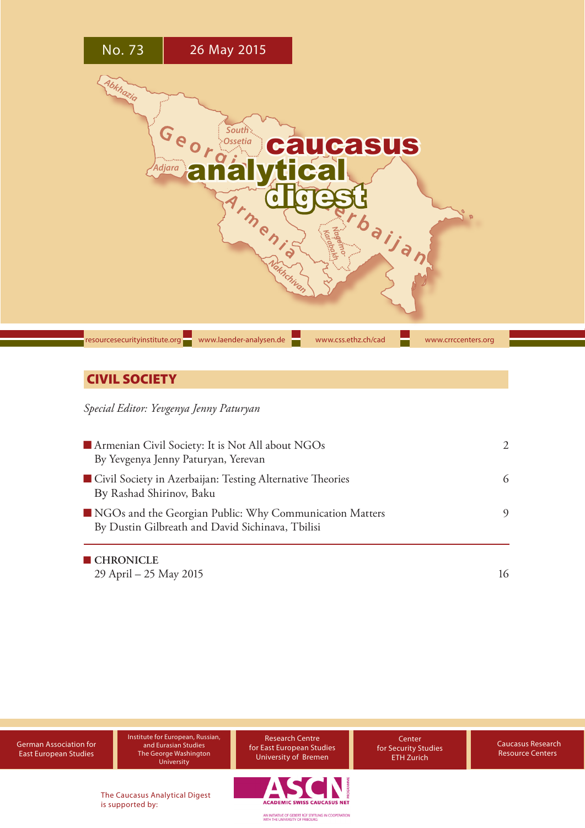

# **CIVIL SOCIETY**

*Special Editor: Yevgenya Jenny Paturyan*

| Armenian Civil Society: It is Not All about NGOs<br>By Yevgenya Jenny Paturyan, Yerevan                     | $\mathcal{D}_{\cdot}$ |
|-------------------------------------------------------------------------------------------------------------|-----------------------|
| Civil Society in Azerbaijan: Testing Alternative Theories<br>By Rashad Shirinov, Baku                       | 6                     |
| NGOs and the Georgian Public: Why Communication Matters<br>By Dustin Gilbreath and David Sichinava, Tbilisi | 9                     |
| $\blacksquare$ CHRONICLE                                                                                    |                       |

[29 April – 25 May 2015](#page-15-0) 16

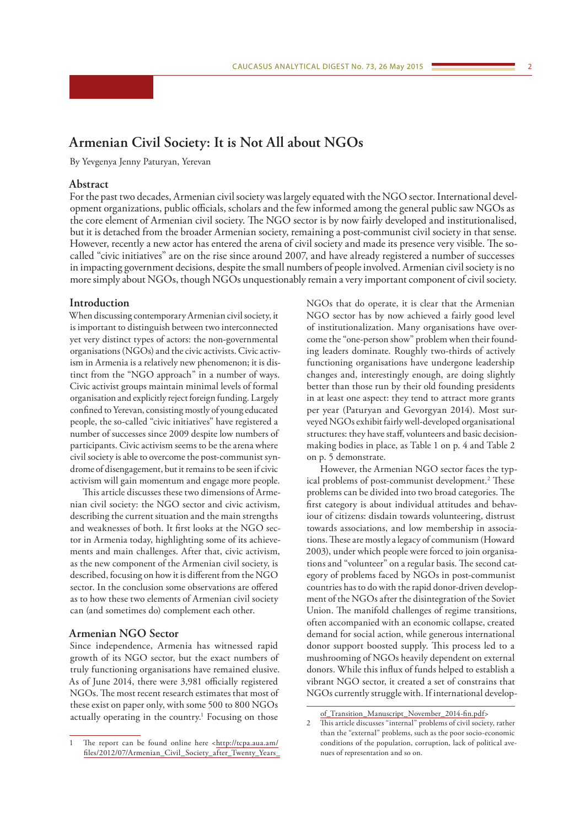# <span id="page-1-0"></span>**Armenian Civil Society: It is Not All about NGOs**

By Yevgenya Jenny Paturyan, Yerevan

#### **Abstract**

For the past two decades, Armenian civil society was largely equated with the NGO sector. International development organizations, public officials, scholars and the few informed among the general public saw NGOs as the core element of Armenian civil society. The NGO sector is by now fairly developed and institutionalised, but it is detached from the broader Armenian society, remaining a post-communist civil society in that sense. However, recently a new actor has entered the arena of civil society and made its presence very visible. The socalled "civic initiatives" are on the rise since around 2007, and have already registered a number of successes in impacting government decisions, despite the small numbers of people involved. Armenian civil society is no more simply about NGOs, though NGOs unquestionably remain a very important component of civil society.

#### **Introduction**

When discussing contemporary Armenian civil society, it is important to distinguish between two interconnected yet very distinct types of actors: the non-governmental organisations (NGOs) and the civic activists. Civic activism in Armenia is a relatively new phenomenon; it is distinct from the "NGO approach" in a number of ways. Civic activist groups maintain minimal levels of formal organisation and explicitly reject foreign funding. Largely confined to Yerevan, consisting mostly of young educated people, the so-called "civic initiatives" have registered a number of successes since 2009 despite low numbers of participants. Civic activism seems to be the arena where civil society is able to overcome the post-communist syndrome of disengagement, but it remains to be seen if civic activism will gain momentum and engage more people.

This article discusses these two dimensions of Armenian civil society: the NGO sector and civic activism, describing the current situation and the main strengths and weaknesses of both. It first looks at the NGO sector in Armenia today, highlighting some of its achievements and main challenges. After that, civic activism, as the new component of the Armenian civil society, is described, focusing on how it is different from the NGO sector. In the conclusion some observations are offered as to how these two elements of Armenian civil society can (and sometimes do) complement each other.

#### **Armenian NGO Sector**

Since independence, Armenia has witnessed rapid growth of its NGO sector, but the exact numbers of truly functioning organisations have remained elusive. As of June 2014, there were 3,981 officially registered NGOs. The most recent research estimates that most of these exist on paper only, with some 500 to 800 NGOs actually operating in the country.<sup>1</sup> Focusing on those NGOs that do operate, it is clear that the Armenian NGO sector has by now achieved a fairly good level of institutionalization. Many organisations have overcome the "one-person show" problem when their founding leaders dominate. Roughly two-thirds of actively functioning organisations have undergone leadership changes and, interestingly enough, are doing slightly better than those run by their old founding presidents in at least one aspect: they tend to attract more grants per year (Paturyan and Gevorgyan 2014). Most surveyed NGOs exhibit fairly well-developed organisational structures: they have staff, volunteers and basic decisionmaking bodies in place, as Table 1 on p. 4 and Table 2 on p. 5 demonstrate.

However, the Armenian NGO sector faces the typical problems of post-communist development.<sup>2</sup> These problems can be divided into two broad categories. The first category is about individual attitudes and behaviour of citizens: disdain towards volunteering, distrust towards associations, and low membership in associations. These are mostly a legacy of communism (Howard 2003), under which people were forced to join organisations and "volunteer" on a regular basis. The second category of problems faced by NGOs in post-communist countries has to do with the rapid donor-driven development of the NGOs after the disintegration of the Soviet Union. The manifold challenges of regime transitions, often accompanied with an economic collapse, created demand for social action, while generous international donor support boosted supply. This process led to a mushrooming of NGOs heavily dependent on external donors. While this influx of funds helped to establish a vibrant NGO sector, it created a set of constrains that NGOs currently struggle with. If international develop-

The report can be found online here <[http://tcpa.aua.am/](http://tcpa.aua.am/files/2012/07/Armenian_Civil_Society_after_Twenty_Years_of_Transition_Manuscript_November_2014-fin.pdf) [files/2012/07/Armenian\\_Civil\\_Society\\_after\\_Twenty\\_Years\\_](http://tcpa.aua.am/files/2012/07/Armenian_Civil_Society_after_Twenty_Years_of_Transition_Manuscript_November_2014-fin.pdf)

[of\\_Transition\\_Manuscript\\_November\\_2014-fin.pdf](http://tcpa.aua.am/files/2012/07/Armenian_Civil_Society_after_Twenty_Years_of_Transition_Manuscript_November_2014-fin.pdf)>

<sup>2</sup> This article discusses "internal" problems of civil society, rather than the "external" problems, such as the poor socio-economic conditions of the population, corruption, lack of political avenues of representation and so on.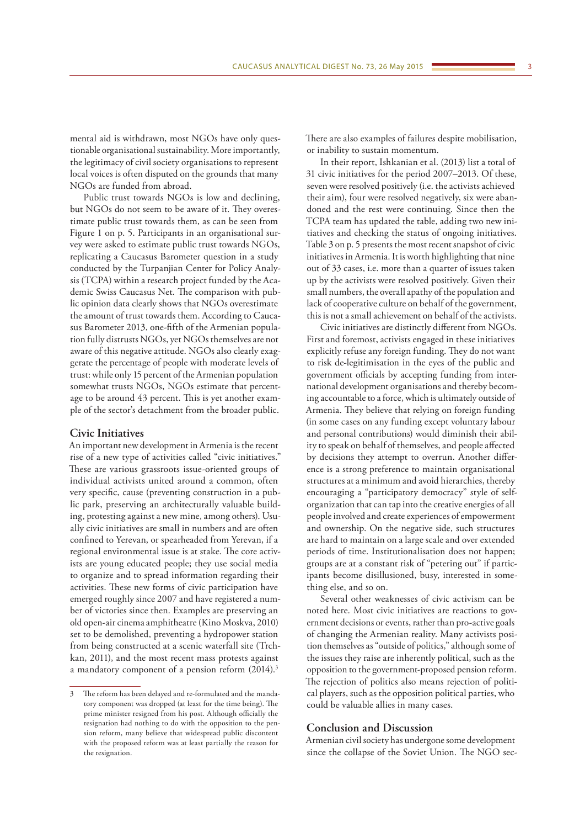mental aid is withdrawn, most NGOs have only questionable organisational sustainability. More importantly, the legitimacy of civil society organisations to represent local voices is often disputed on the grounds that many NGOs are funded from abroad.

Public trust towards NGOs is low and declining, but NGOs do not seem to be aware of it. They overestimate public trust towards them, as can be seen from Figure 1 on p. 5. Participants in an organisational survey were asked to estimate public trust towards NGOs, replicating a Caucasus Barometer question in a study conducted by the Turpanjian Center for Policy Analysis (TCPA) within a research project funded by the Academic Swiss Caucasus Net. The comparison with public opinion data clearly shows that NGOs overestimate the amount of trust towards them. According to Caucasus Barometer 2013, one-fifth of the Armenian population fully distrusts NGOs, yet NGOs themselves are not aware of this negative attitude. NGOs also clearly exaggerate the percentage of people with moderate levels of trust: while only 15 percent of the Armenian population somewhat trusts NGOs, NGOs estimate that percentage to be around 43 percent. This is yet another example of the sector's detachment from the broader public.

#### **Civic Initiatives**

An important new development in Armenia is the recent rise of a new type of activities called "civic initiatives." These are various grassroots issue-oriented groups of individual activists united around a common, often very specific, cause (preventing construction in a public park, preserving an architecturally valuable building, protesting against a new mine, among others). Usually civic initiatives are small in numbers and are often confined to Yerevan, or spearheaded from Yerevan, if a regional environmental issue is at stake. The core activists are young educated people; they use social media to organize and to spread information regarding their activities. These new forms of civic participation have emerged roughly since 2007 and have registered a number of victories since then. Examples are preserving an old open-air cinema amphitheatre (Kino Moskva, 2010) set to be demolished, preventing a hydropower station from being constructed at a scenic waterfall site (Trchkan, 2011), and the most recent mass protests against a mandatory component of a pension reform (2014).<sup>3</sup>

There are also examples of failures despite mobilisation, or inability to sustain momentum.

In their report, Ishkanian et al. (2013) list a total of 31 civic initiatives for the period 2007–2013. Of these, seven were resolved positively (i.e. the activists achieved their aim), four were resolved negatively, six were abandoned and the rest were continuing. Since then the TCPA team has updated the table, adding two new initiatives and checking the status of ongoing initiatives. Table 3 on p. 5 presents the most recent snapshot of civic initiatives in Armenia. It is worth highlighting that nine out of 33 cases, i.e. more than a quarter of issues taken up by the activists were resolved positively. Given their small numbers, the overall apathy of the population and lack of cooperative culture on behalf of the government, this is not a small achievement on behalf of the activists.

Civic initiatives are distinctly different from NGOs. First and foremost, activists engaged in these initiatives explicitly refuse any foreign funding. They do not want to risk de-legitimisation in the eyes of the public and government officials by accepting funding from international development organisations and thereby becoming accountable to a force, which is ultimately outside of Armenia. They believe that relying on foreign funding (in some cases on any funding except voluntary labour and personal contributions) would diminish their ability to speak on behalf of themselves, and people affected by decisions they attempt to overrun. Another difference is a strong preference to maintain organisational structures at a minimum and avoid hierarchies, thereby encouraging a "participatory democracy" style of selforganization that can tap into the creative energies of all people involved and create experiences of empowerment and ownership. On the negative side, such structures are hard to maintain on a large scale and over extended periods of time. Institutionalisation does not happen; groups are at a constant risk of "petering out" if participants become disillusioned, busy, interested in something else, and so on.

Several other weaknesses of civic activism can be noted here. Most civic initiatives are reactions to government decisions or events, rather than pro-active goals of changing the Armenian reality. Many activists position themselves as "outside of politics," although some of the issues they raise are inherently political, such as the opposition to the government-proposed pension reform. The rejection of politics also means rejection of political players, such as the opposition political parties, who could be valuable allies in many cases.

#### **Conclusion and Discussion**

Armenian civil society has undergone some development since the collapse of the Soviet Union. The NGO sec-

<sup>3</sup> The reform has been delayed and re-formulated and the mandatory component was dropped (at least for the time being). The prime minister resigned from his post. Although officially the resignation had nothing to do with the opposition to the pension reform, many believe that widespread public discontent with the proposed reform was at least partially the reason for the resignation.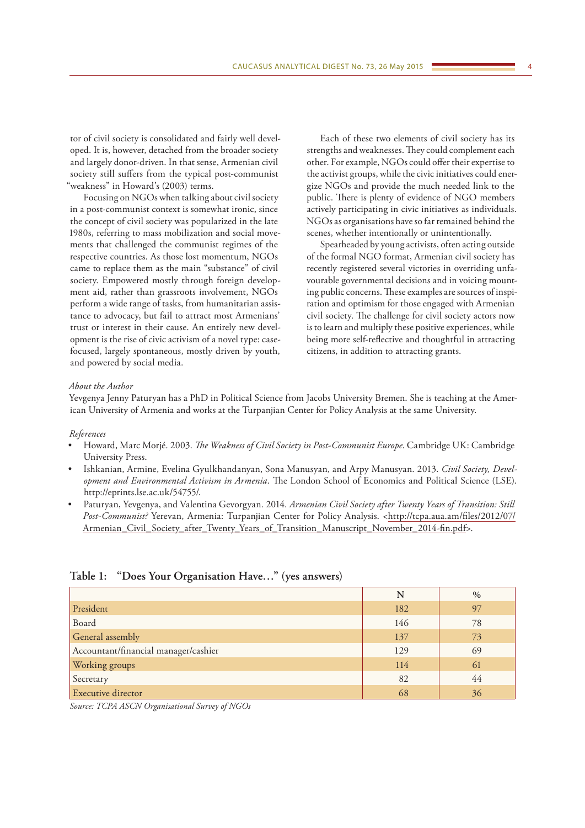tor of civil society is consolidated and fairly well developed. It is, however, detached from the broader society and largely donor-driven. In that sense, Armenian civil society still suffers from the typical post-communist "weakness" in Howard's (2003) terms.

Focusing on NGOs when talking about civil society in a post-communist context is somewhat ironic, since the concept of civil society was popularized in the late 1980s, referring to mass mobilization and social movements that challenged the communist regimes of the respective countries. As those lost momentum, NGOs came to replace them as the main "substance" of civil society. Empowered mostly through foreign development aid, rather than grassroots involvement, NGOs perform a wide range of tasks, from humanitarian assistance to advocacy, but fail to attract most Armenians' trust or interest in their cause. An entirely new development is the rise of civic activism of a novel type: casefocused, largely spontaneous, mostly driven by youth, and powered by social media.

Each of these two elements of civil society has its strengths and weaknesses. They could complement each other. For example, NGOs could offer their expertise to the activist groups, while the civic initiatives could energize NGOs and provide the much needed link to the public. There is plenty of evidence of NGO members actively participating in civic initiatives as individuals. NGOs as organisations have so far remained behind the scenes, whether intentionally or unintentionally.

Spearheaded by young activists, often acting outside of the formal NGO format, Armenian civil society has recently registered several victories in overriding unfavourable governmental decisions and in voicing mounting public concerns. These examples are sources of inspiration and optimism for those engaged with Armenian civil society. The challenge for civil society actors now is to learn and multiply these positive experiences, while being more self-reflective and thoughtful in attracting citizens, in addition to attracting grants.

#### *About the Author*

Yevgenya Jenny Paturyan has a PhD in Political Science from Jacobs University Bremen. She is teaching at the American University of Armenia and works at the Turpanjian Center for Policy Analysis at the same University.

#### *References*

- Howard, Marc Morjé. 2003. *The Weakness of Civil Society in Post-Communist Europe*. Cambridge UK: Cambridge University Press.
- Ishkanian, Armine, Evelina Gyulkhandanyan, Sona Manusyan, and Arpy Manusyan. 2013. *Civil Society, Development and Environmental Activism in Armenia*. The London School of Economics and Political Science (LSE). http://eprints.lse.ac.uk/54755/.
- Paturyan, Yevgenya, and Valentina Gevorgyan. 2014. *Armenian Civil Society after Twenty Years of Transition: Still Post-Communist?* Yerevan, Armenia: Turpanjian Center for Policy Analysis. <[http://tcpa.aua.am/files/2012/07/](http://tcpa.aua.am/files/2012/07/Armenian_Civil_Society_after_Twenty_Years_of_Transition_Manuscript_November_2014-fin.pdf) [Armenian\\_Civil\\_Society\\_after\\_Twenty\\_Years\\_of\\_Transition\\_Manuscript\\_November\\_2014-fin.pdf>](http://tcpa.aua.am/files/2012/07/Armenian_Civil_Society_after_Twenty_Years_of_Transition_Manuscript_November_2014-fin.pdf).

|                                      | N   | $\%$ |
|--------------------------------------|-----|------|
| President                            | 182 | 97   |
| Board                                | 146 | 78   |
| General assembly                     | 137 | 73   |
| Accountant/financial manager/cashier | 129 | 69   |
| Working groups                       | 114 | 61   |
| Secretary                            | 82  | 44   |
| Executive director                   | 68  | 36   |

#### **Table 1: "Does Your Organisation Have…" (yes answers)**

*Source: TCPA ASCN Organisational Survey of NGOs*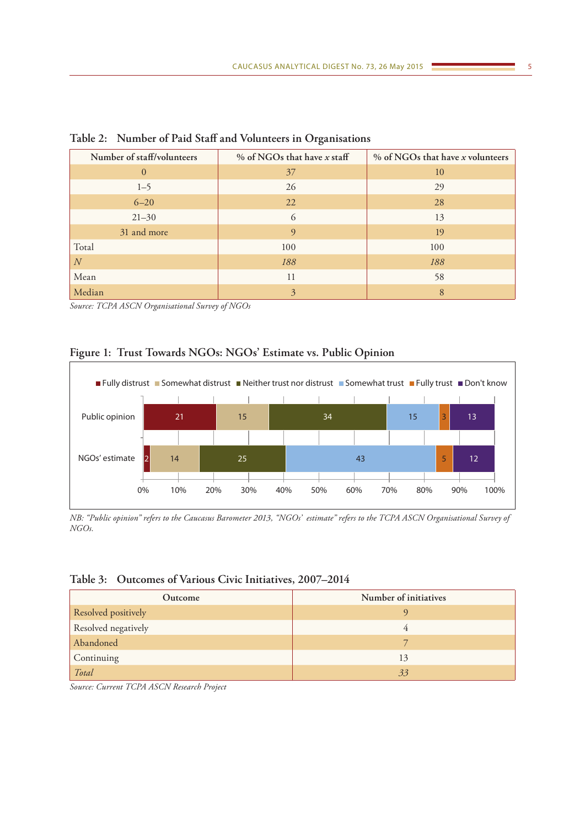| Number of staff/volunteers | % of NGOs that have x staff | % of NGOs that have x volunteers |
|----------------------------|-----------------------------|----------------------------------|
| $\overline{0}$             | 37                          | 10                               |
| $1 - 5$                    | 26                          | 29                               |
| $6 - 20$                   | 22                          | 28                               |
| $21 - 30$                  | 6                           | 13                               |
| 31 and more                | 9                           | 19                               |
| Total                      | 100                         | 100                              |
| N                          | 188                         | 188                              |
| Mean                       | 11                          | 58                               |
| Median                     | 3                           | 8                                |

**Table 2: Number of Paid Staff and Volunteers in Organisations**

*Source: TCPA ASCN Organisational Survey of NGOs*

# **Figure 1: Trust Towards NGOs: NGOs' Estimate vs. Public Opinion**



*NB: "Public opinion" refers to the Caucasus Barometer 2013, "NGOs' estimate" refers to the TCPA ASCN Organisational Survey of NGOs.*

### **Table 3: Outcomes of Various Civic Initiatives, 2007–2014**

| Outcome             | Number of initiatives |
|---------------------|-----------------------|
| Resolved positively |                       |
| Resolved negatively | 4                     |
| Abandoned           |                       |
| Continuing          | 13                    |
| Total               | 33                    |

*Source: Current TCPA ASCN Research Project*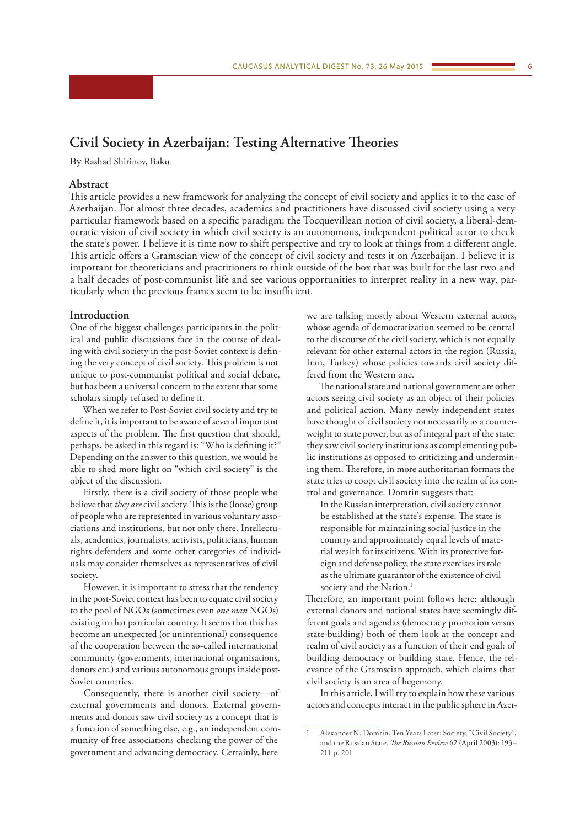# <span id="page-5-0"></span>**Civil Society in Azerbaijan: Testing Alternative Theories**

By Rashad Shirinov, Baku

#### **Abstract**

This article provides a new framework for analyzing the concept of civil society and applies it to the case of Azerbaijan. For almost three decades, academics and practitioners have discussed civil society using a very particular framework based on a specific paradigm: the Tocquevillean notion of civil society, a liberal-democratic vision of civil society in which civil society is an autonomous, independent political actor to check the state's power. I believe it is time now to shift perspective and try to look at things from a different angle. This article offers a Gramscian view of the concept of civil society and tests it on Azerbaijan. I believe it is important for theoreticians and practitioners to think outside of the box that was built for the last two and a half decades of post-communist life and see various opportunities to interpret reality in a new way, particularly when the previous frames seem to be insufficient.

#### **Introduction**

One of the biggest challenges participants in the political and public discussions face in the course of dealing with civil society in the post-Soviet context is defining the very concept of civil society. This problem is not unique to post-communist political and social debate, but has been a universal concern to the extent that some scholars simply refused to define it.

When we refer to Post-Soviet civil society and try to define it, it is important to be aware of several important aspects of the problem. The first question that should, perhaps, be asked in this regard is: "Who is defining it?" Depending on the answer to this question, we would be able to shed more light on "which civil society" is the object of the discussion.

Firstly, there is a civil society of those people who believe that *they are* civil society. This is the (loose) group of people who are represented in various voluntary associations and institutions, but not only there. Intellectuals, academics, journalists, activists, politicians, human rights defenders and some other categories of individuals may consider themselves as representatives of civil society.

However, it is important to stress that the tendency in the post-Soviet context has been to equate civil society to the pool of NGOs (sometimes even *one man* NGOs) existing in that particular country. It seems that this has become an unexpected (or unintentional) consequence of the cooperation between the so-called international community (governments, international organisations, donors etc.) and various autonomous groups inside post-Soviet countries.

Consequently, there is another civil society—of external governments and donors. External governments and donors saw civil society as a concept that is a function of something else, e.g., an independent community of free associations checking the power of the government and advancing democracy. Certainly, here

we are talking mostly about Western external actors, whose agenda of democratization seemed to be central to the discourse of the civil society, which is not equally relevant for other external actors in the region (Russia, Iran, Turkey) whose policies towards civil society differed from the Western one.

The national state and national government are other actors seeing civil society as an object of their policies and political action. Many newly independent states have thought of civil society not necessarily as a counterweight to state power, but as of integral part of the state: they saw civil society institutions as complementing public institutions as opposed to criticizing and undermining them. Therefore, in more authoritarian formats the state tries to coopt civil society into the realm of its control and governance. Domrin suggests that:

In the Russian interpretation, civil society cannot be established at the state's expense. The state is responsible for maintaining social justice in the country and approximately equal levels of material wealth for its citizens. With its protective foreign and defense policy, the state exercises its role as the ultimate guarantor of the existence of civil society and the Nation.<sup>1</sup>

Therefore, an important point follows here: although external donors and national states have seemingly different goals and agendas (democracy promotion versus state-building) both of them look at the concept and realm of civil society as a function of their end goal: of building democracy or building state. Hence, the relevance of the Gramscian approach, which claims that civil society is an area of hegemony.

In this article, I will try to explain how these various actors and concepts interact in the public sphere in Azer-

<sup>1</sup> Alexander N. Domrin. Ten Years Later: Society, "Civil Society", and the Russian State. *The Russian Review* 62 (April 2003): 193– 211 p. 201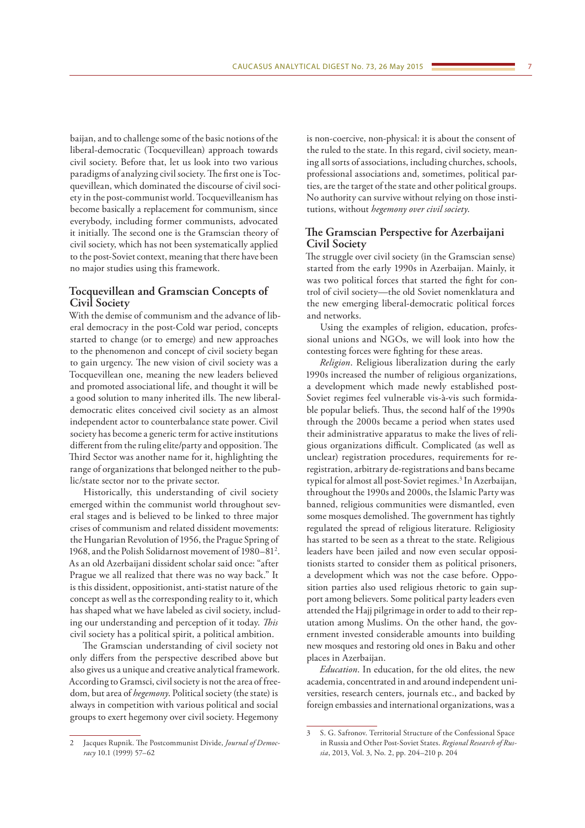baijan, and to challenge some of the basic notions of the liberal-democratic (Tocquevillean) approach towards civil society. Before that, let us look into two various paradigms of analyzing civil society. The first one is Tocquevillean, which dominated the discourse of civil society in the post-communist world. Tocquevilleanism has become basically a replacement for communism, since everybody, including former communists, advocated it initially. The second one is the Gramscian theory of civil society, which has not been systematically applied to the post-Soviet context, meaning that there have been no major studies using this framework.

### **Tocquevillean and Gramscian Concepts of Civil Society**

With the demise of communism and the advance of liberal democracy in the post-Cold war period, concepts started to change (or to emerge) and new approaches to the phenomenon and concept of civil society began to gain urgency. The new vision of civil society was a Tocquevillean one, meaning the new leaders believed and promoted associational life, and thought it will be a good solution to many inherited ills. The new liberaldemocratic elites conceived civil society as an almost independent actor to counterbalance state power. Civil society has become a generic term for active institutions different from the ruling elite/party and opposition. The Third Sector was another name for it, highlighting the range of organizations that belonged neither to the public/state sector nor to the private sector.

Historically, this understanding of civil society emerged within the communist world throughout several stages and is believed to be linked to three major crises of communism and related dissident movements: the Hungarian Revolution of 1956, the Prague Spring of 1968, and the Polish Solidarnost movement of 1980–812 . As an old Azerbaijani dissident scholar said once: "after Prague we all realized that there was no way back." It is this dissident, oppositionist, anti-statist nature of the concept as well as the corresponding reality to it, which has shaped what we have labeled as civil society, including our understanding and perception of it today. *This* civil society has a political spirit, a political ambition.

The Gramscian understanding of civil society not only differs from the perspective described above but also gives us a unique and creative analytical framework. According to Gramsci, civil society is not the area of freedom, but area of *hegemony*. Political society (the state) is always in competition with various political and social groups to exert hegemony over civil society. Hegemony

Jacques Rupnik. The Postcommunist Divide, *Journal of Democracy* 10.1 (1999) 57–62

is non-coercive, non-physical: it is about the consent of the ruled to the state. In this regard, civil society, meaning all sorts of associations, including churches, schools, professional associations and, sometimes, political parties, are the target of the state and other political groups. No authority can survive without relying on those institutions, without *hegemony over civil society*.

### **The Gramscian Perspective for Azerbaijani Civil Society**

The struggle over civil society (in the Gramscian sense) started from the early 1990s in Azerbaijan. Mainly, it was two political forces that started the fight for control of civil society—the old Soviet nomenklatura and the new emerging liberal-democratic political forces and networks.

Using the examples of religion, education, professional unions and NGOs, we will look into how the contesting forces were fighting for these areas.

*Religion*. Religious liberalization during the early 1990s increased the number of religious organizations, a development which made newly established post-Soviet regimes feel vulnerable vis-à-vis such formidable popular beliefs. Thus, the second half of the 1990s through the 2000s became a period when states used their administrative apparatus to make the lives of religious organizations difficult. Complicated (as well as unclear) registration procedures, requirements for reregistration, arbitrary de-registrations and bans became typical for almost all post-Soviet regimes.<sup>3</sup> In Azerbaijan, throughout the 1990s and 2000s, the Islamic Party was banned, religious communities were dismantled, even some mosques demolished. The government has tightly regulated the spread of religious literature. Religiosity has started to be seen as a threat to the state. Religious leaders have been jailed and now even secular oppositionists started to consider them as political prisoners, a development which was not the case before. Opposition parties also used religious rhetoric to gain support among believers. Some political party leaders even attended the Hajj pilgrimage in order to add to their reputation among Muslims. On the other hand, the government invested considerable amounts into building new mosques and restoring old ones in Baku and other places in Azerbaijan.

*Education*. In education, for the old elites, the new academia, concentrated in and around independent universities, research centers, journals etc., and backed by foreign embassies and international organizations, was a

<sup>3</sup> S. G. Safronov. Territorial Structure of the Confessional Space in Russia and Other Post-Soviet States. *Regional Research of Russia*, 2013, Vol. 3, No. 2, pp. 204–210 p. 204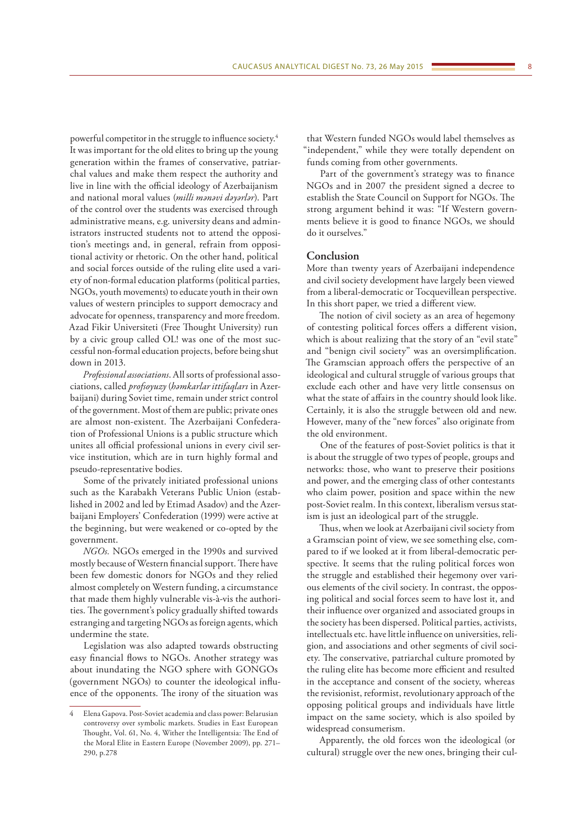powerful competitor in the struggle to influence society.<sup>4</sup> It was important for the old elites to bring up the young generation within the frames of conservative, patriarchal values and make them respect the authority and live in line with the official ideology of Azerbaijanism and national moral values (*milli mənəvi dəyərlər*). Part of the control over the students was exercised through administrative means, e.g. university deans and administrators instructed students not to attend the opposition's meetings and, in general, refrain from oppositional activity or rhetoric. On the other hand, political and social forces outside of the ruling elite used a variety of non-formal education platforms (political parties, NGOs, youth movements) to educate youth in their own values of western principles to support democracy and advocate for openness, transparency and more freedom. Azad Fikir Universiteti (Free Thought University) run

by a civic group called OL! was one of the most successful non-formal education projects, before being shut down in 2013. *Professional associations*. All sorts of professional asso-

ciations, called *profsoyuzy* (*həmkarlar ittifaqları* in Azerbaijani) during Soviet time, remain under strict control of the government. Most of them are public; private ones are almost non-existent. The Azerbaijani Confederation of Professional Unions is a public structure which unites all official professional unions in every civil service institution, which are in turn highly formal and pseudo-representative bodies.

Some of the privately initiated professional unions such as the Karabakh Veterans Public Union (established in 2002 and led by Etimad Asadov) and the Azerbaijani Employers' Confederation (1999) were active at the beginning, but were weakened or co-opted by the government.

*NGOs.* NGOs emerged in the 1990s and survived mostly because of Western financial support. There have been few domestic donors for NGOs and they relied almost completely on Western funding, a circumstance that made them highly vulnerable vis-à-vis the authorities. The government's policy gradually shifted towards estranging and targeting NGOs as foreign agents, which undermine the state.

Legislation was also adapted towards obstructing easy financial flows to NGOs. Another strategy was about inundating the NGO sphere with GONGOs (government NGOs) to counter the ideological influence of the opponents. The irony of the situation was

that Western funded NGOs would label themselves as "independent," while they were totally dependent on funds coming from other governments.

Part of the government's strategy was to finance NGOs and in 2007 the president signed a decree to establish the State Council on Support for NGOs. The strong argument behind it was: "If Western governments believe it is good to finance NGOs, we should do it ourselves."

### **Conclusion**

More than twenty years of Azerbaijani independence and civil society development have largely been viewed from a liberal-democratic or Tocquevillean perspective. In this short paper, we tried a different view.

The notion of civil society as an area of hegemony of contesting political forces offers a different vision, which is about realizing that the story of an "evil state" and "benign civil society" was an oversimplification. The Gramscian approach offers the perspective of an ideological and cultural struggle of various groups that exclude each other and have very little consensus on what the state of affairs in the country should look like. Certainly, it is also the struggle between old and new. However, many of the "new forces" also originate from the old environment.

One of the features of post-Soviet politics is that it is about the struggle of two types of people, groups and networks: those, who want to preserve their positions and power, and the emerging class of other contestants who claim power, position and space within the new post-Soviet realm. In this context, liberalism versus statism is just an ideological part of the struggle.

Thus, when we look at Azerbaijani civil society from a Gramscian point of view, we see something else, compared to if we looked at it from liberal-democratic perspective. It seems that the ruling political forces won the struggle and established their hegemony over various elements of the civil society. In contrast, the opposing political and social forces seem to have lost it, and their influence over organized and associated groups in the society has been dispersed. Political parties, activists, intellectuals etc. have little influence on universities, religion, and associations and other segments of civil society. The conservative, patriarchal culture promoted by the ruling elite has become more efficient and resulted in the acceptance and consent of the society, whereas the revisionist, reformist, revolutionary approach of the opposing political groups and individuals have little impact on the same society, which is also spoiled by widespread consumerism.

Apparently, the old forces won the ideological (or cultural) struggle over the new ones, bringing their cul-

<sup>4</sup> Elena Gapova. Post-Soviet academia and class power: Belarusian controversy over symbolic markets. Studies in East European Thought, Vol. 61, No. 4, Wither the Intelligentsia: The End of the Moral Elite in Eastern Europe (November 2009), pp. 271– 290, p.278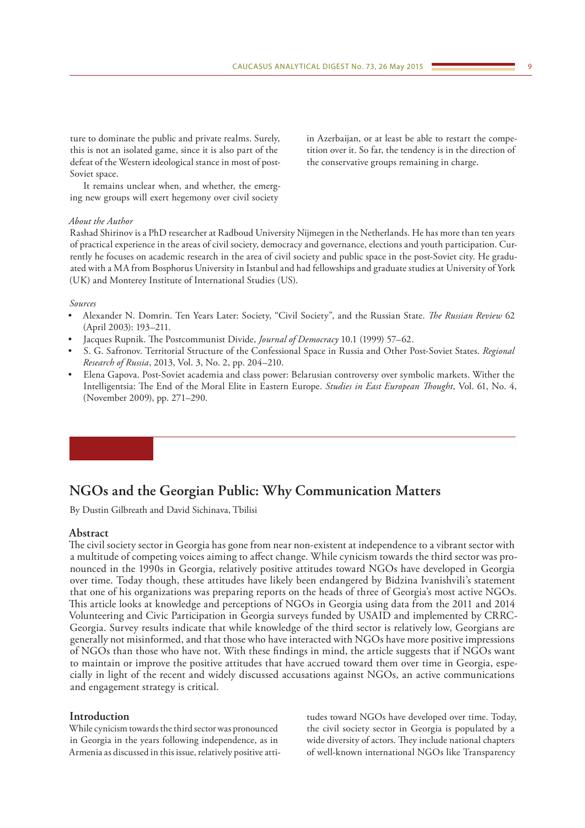<span id="page-8-0"></span>ture to dominate the public and private realms. Surely, this is not an isolated game, since it is also part of the defeat of the Western ideological stance in most of post-Soviet space.

It remains unclear when, and whether, the emerging new groups will exert hegemony over civil society

#### *About the Author*

Rashad Shirinov is a PhD researcher at Radboud University Nijmegen in the Netherlands. He has more than ten years of practical experience in the areas of civil society, democracy and governance, elections and youth participation. Currently he focuses on academic research in the area of civil society and public space in the post-Soviet city. He graduated with a MA from Bosphorus University in Istanbul and had fellowships and graduate studies at University of York (UK) and Monterey Institute of International Studies (US).

#### *Sources*

- Alexander N. Domrin. Ten Years Later: Society, "Civil Society", and the Russian State. *The Russian Review* 62 (April 2003): 193–211.
- Jacques Rupnik. The Postcommunist Divide, *Journal of Democracy* 10.1 (1999) 57–62.
- S. G. Safronov. Territorial Structure of the Confessional Space in Russia and Other Post-Soviet States. *Regional Research of Russia*, 2013, Vol. 3, No. 2, pp. 204–210.
- Elena Gapova. Post-Soviet academia and class power: Belarusian controversy over symbolic markets. Wither the Intelligentsia: The End of the Moral Elite in Eastern Europe. *Studies in East European Thought*, Vol. 61, No. 4, (November 2009), pp. 271–290.

# **NGOs and the Georgian Public: Why Communication Matters**

By Dustin Gilbreath and David Sichinava, Tbilisi

#### **Abstract**

The civil society sector in Georgia has gone from near non-existent at independence to a vibrant sector with a multitude of competing voices aiming to affect change. While cynicism towards the third sector was pronounced in the 1990s in Georgia, relatively positive attitudes toward NGOs have developed in Georgia over time. Today though, these attitudes have likely been endangered by Bidzina Ivanishvili's statement that one of his organizations was preparing reports on the heads of three of Georgia's most active NGOs. This article looks at knowledge and perceptions of NGOs in Georgia using data from the 2011 and 2014 Volunteering and Civic Participation in Georgia surveys funded by USAID and implemented by CRRC-Georgia. Survey results indicate that while knowledge of the third sector is relatively low, Georgians are generally not misinformed, and that those who have interacted with NGOs have more positive impressions of NGOs than those who have not. With these findings in mind, the article suggests that if NGOs want to maintain or improve the positive attitudes that have accrued toward them over time in Georgia, especially in light of the recent and widely discussed accusations against NGOs, an active communications and engagement strategy is critical.

### **Introduction**

While cynicism towards the third sector was pronounced in Georgia in the years following independence, as in Armenia as discussed in this issue, relatively positive atti-

tudes toward NGOs have developed over time. Today, the civil society sector in Georgia is populated by a wide diversity of actors. They include national chapters of well-known international NGOs like Transparency

in Azerbaijan, or at least be able to restart the competition over it. So far, the tendency is in the direction of the conservative groups remaining in charge.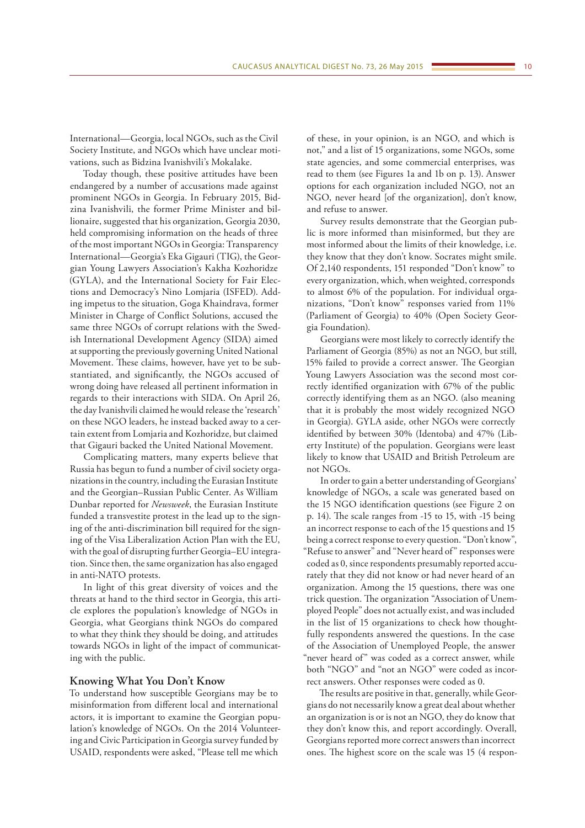International—Georgia, local NGOs, such as the Civil Society Institute, and NGOs which have unclear motivations, such as Bidzina Ivanishvili's Mokalake.

Today though, these positive attitudes have been endangered by a number of accusations made against prominent NGOs in Georgia. In February 2015, Bidzina Ivanishvili, the former Prime Minister and billionaire, suggested that his organization, Georgia 2030, held compromising information on the heads of three of the most important NGOs in Georgia: Transparency International—Georgia's Eka Gigauri (TIG), the Georgian Young Lawyers Association's Kakha Kozhoridze (GYLA), and the International Society for Fair Elections and Democracy's Nino Lomjaria (ISFED). Adding impetus to the situation, Goga Khaindrava, former Minister in Charge of Conflict Solutions, accused the same three NGOs of corrupt relations with the Swedish International Development Agency (SIDA) aimed at supporting the previously governing United National Movement. These claims, however, have yet to be substantiated, and significantly, the NGOs accused of wrong doing have released all pertinent information in regards to their interactions with SIDA. On April 26, the day Ivanishvili claimed he would release the 'research' on these NGO leaders, he instead backed away to a certain extent from Lomjaria and Kozhoridze, but claimed that Gigauri backed the United National Movement.

Complicating matters, many experts believe that Russia has begun to fund a number of civil society organizations in the country, including the Eurasian Institute and the Georgian–Russian Public Center. As William Dunbar reported for *Newsweek*, the Eurasian Institute funded a transvestite protest in the lead up to the signing of the anti-discrimination bill required for the signing of the Visa Liberalization Action Plan with the EU, with the goal of disrupting further Georgia–EU integration. Since then, the same organization has also engaged in anti-NATO protests.

In light of this great diversity of voices and the threats at hand to the third sector in Georgia, this article explores the population's knowledge of NGOs in Georgia, what Georgians think NGOs do compared to what they think they should be doing, and attitudes towards NGOs in light of the impact of communicating with the public.

#### **Knowing What You Don't Know**

To understand how susceptible Georgians may be to misinformation from different local and international actors, it is important to examine the Georgian population's knowledge of NGOs. On the 2014 Volunteering and Civic Participation in Georgia survey funded by USAID, respondents were asked, "Please tell me which

of these, in your opinion, is an NGO, and which is not," and a list of 15 organizations, some NGOs, some state agencies, and some commercial enterprises, was read to them (see Figures 1a and 1b on p. 13). Answer options for each organization included NGO, not an NGO, never heard [of the organization], don't know, and refuse to answer.

Survey results demonstrate that the Georgian public is more informed than misinformed, but they are most informed about the limits of their knowledge, i.e. they know that they don't know. Socrates might smile. Of 2,140 respondents, 151 responded "Don't know" to every organization, which, when weighted, corresponds to almost 6% of the population. For individual organizations, "Don't know" responses varied from 11% (Parliament of Georgia) to 40% (Open Society Georgia Foundation).

Georgians were most likely to correctly identify the Parliament of Georgia (85%) as not an NGO, but still, 15% failed to provide a correct answer. The Georgian Young Lawyers Association was the second most correctly identified organization with 67% of the public correctly identifying them as an NGO. (also meaning that it is probably the most widely recognized NGO in Georgia). GYLA aside, other NGOs were correctly identified by between 30% (Identoba) and 47% (Liberty Institute) of the population. Georgians were least likely to know that USAID and British Petroleum are not NGOs.

In order to gain a better understanding of Georgians' knowledge of NGOs, a scale was generated based on the 15 NGO identification questions (see Figure 2 on p. 14). The scale ranges from -15 to 15, with -15 being an incorrect response to each of the 15 questions and 15 being a correct response to every question. "Don't know", "Refuse to answer" and "Never heard of" responses were coded as 0, since respondents presumably reported accurately that they did not know or had never heard of an organization. Among the 15 questions, there was one trick question. The organization "Association of Unemployed People" does not actually exist, and was included in the list of 15 organizations to check how thoughtfully respondents answered the questions. In the case of the Association of Unemployed People, the answer "never heard of" was coded as a correct answer, while both "NGO" and "not an NGO" were coded as incorrect answers. Other responses were coded as 0.

The results are positive in that, generally, while Georgians do not necessarily know a great deal about whether an organization is or is not an NGO, they do know that they don't know this, and report accordingly. Overall, Georgians reported more correct answers than incorrect ones. The highest score on the scale was 15 (4 respon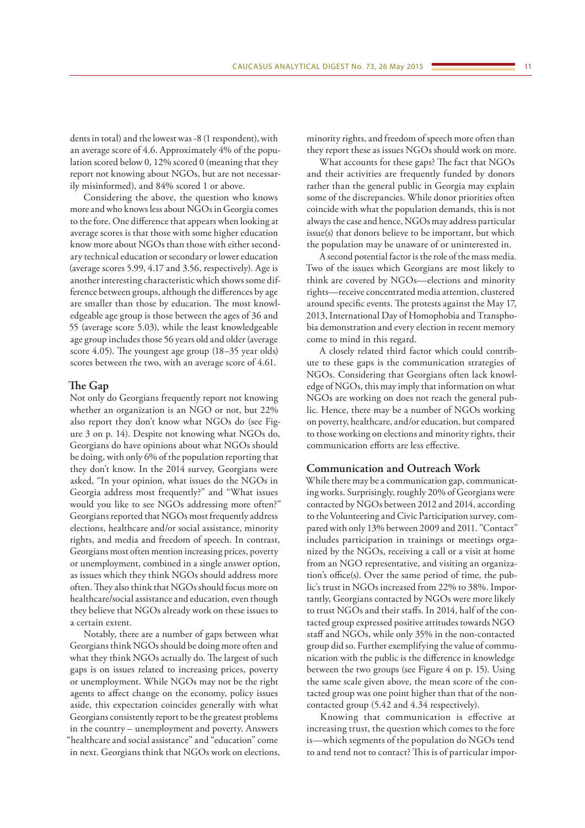dents in total) and the lowest was -8 (1 respondent), with an average score of 4.6. Approximately 4% of the population scored below 0, 12% scored 0 (meaning that they report not knowing about NGOs, but are not necessarily misinformed), and 84% scored 1 or above.

Considering the above, the question who knows more and who knows less about NGOs in Georgia comes to the fore. One difference that appears when looking at average scores is that those with some higher education know more about NGOs than those with either secondary technical education or secondary or lower education (average scores 5.99, 4.17 and 3.56, respectively). Age is another interesting characteristic which shows some difference between groups, although the differences by age are smaller than those by education. The most knowledgeable age group is those between the ages of 36 and 55 (average score 5.03), while the least knowledgeable age group includes those 56 years old and older (average score 4.05). The youngest age group (18–35 year olds) scores between the two, with an average score of 4.61.

#### **The Gap**

Not only do Georgians frequently report not knowing whether an organization is an NGO or not, but 22% also report they don't know what NGOs do (see Figure 3 on p. 14). Despite not knowing what NGOs do, Georgians do have opinions about what NGOs should be doing, with only 6% of the population reporting that they don't know. In the 2014 survey, Georgians were asked, "In your opinion, what issues do the NGOs in Georgia address most frequently?" and "What issues would you like to see NGOs addressing more often?" Georgians reported that NGOs most frequently address elections, healthcare and/or social assistance, minority rights, and media and freedom of speech. In contrast, Georgians most often mention increasing prices, poverty or unemployment, combined in a single answer option, as issues which they think NGOs should address more often. They also think that NGOs should focus more on healthcare/social assistance and education, even though they believe that NGOs already work on these issues to a certain extent.

Notably, there are a number of gaps between what Georgians think NGOs should be doing more often and what they think NGOs actually do. The largest of such gaps is on issues related to increasing prices, poverty or unemployment. While NGOs may not be the right agents to affect change on the economy, policy issues aside, this expectation coincides generally with what Georgians consistently report to be the greatest problems in the country – unemployment and poverty. Answers "healthcare and social assistance" and "education" come in next. Georgians think that NGOs work on elections, minority rights, and freedom of speech more often than they report these as issues NGOs should work on more.

What accounts for these gaps? The fact that NGOs and their activities are frequently funded by donors rather than the general public in Georgia may explain some of the discrepancies. While donor priorities often coincide with what the population demands, this is not always the case and hence, NGOs may address particular issue(s) that donors believe to be important, but which the population may be unaware of or uninterested in.

A second potential factor is the role of the mass media. Two of the issues which Georgians are most likely to think are covered by NGOs—elections and minority rights—receive concentrated media attention, clustered around specific events. The protests against the May 17, 2013, International Day of Homophobia and Transphobia demonstration and every election in recent memory come to mind in this regard.

A closely related third factor which could contribute to these gaps is the communication strategies of NGOs. Considering that Georgians often lack knowledge of NGOs, this may imply that information on what NGOs are working on does not reach the general public. Hence, there may be a number of NGOs working on poverty, healthcare, and/or education, but compared to those working on elections and minority rights, their communication efforts are less effective.

### **Communication and Outreach Work**

While there may be a communication gap, communicating works. Surprisingly, roughly 20% of Georgians were contacted by NGOs between 2012 and 2014, according to the Volunteering and Civic Participation survey, compared with only 13% between 2009 and 2011. "Contact" includes participation in trainings or meetings organized by the NGOs, receiving a call or a visit at home from an NGO representative, and visiting an organization's office(s). Over the same period of time, the public's trust in NGOs increased from 22% to 38%. Importantly, Georgians contacted by NGOs were more likely to trust NGOs and their staffs. In 2014, half of the contacted group expressed positive attitudes towards NGO staff and NGOs, while only 35% in the non-contacted group did so. Further exemplifying the value of communication with the public is the difference in knowledge between the two groups (see Figure 4 on p. 15). Using the same scale given above, the mean score of the contacted group was one point higher than that of the noncontacted group (5.42 and 4.34 respectively).

Knowing that communication is effective at increasing trust, the question which comes to the fore is—which segments of the population do NGOs tend to and tend not to contact? This is of particular impor-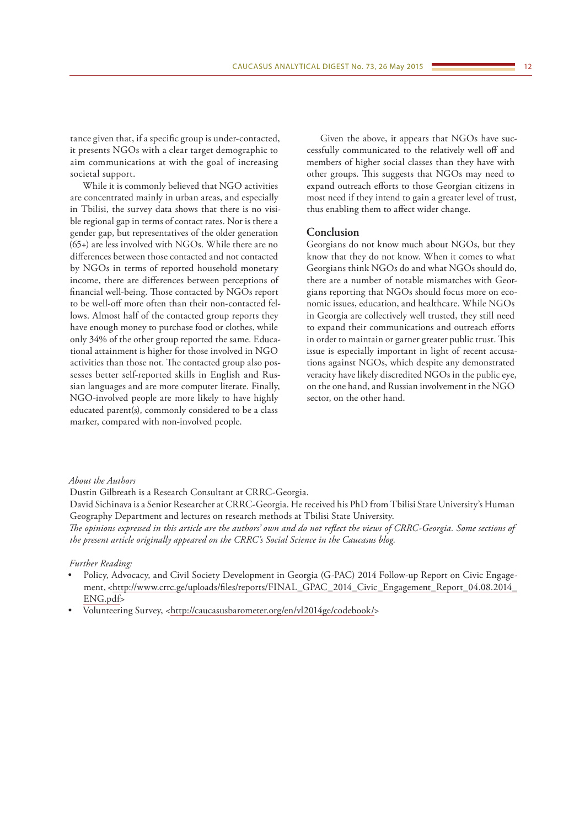tance given that, if a specific group is under-contacted, it presents NGOs with a clear target demographic to aim communications at with the goal of increasing societal support.

While it is commonly believed that NGO activities are concentrated mainly in urban areas, and especially in Tbilisi, the survey data shows that there is no visible regional gap in terms of contact rates. Nor is there a gender gap, but representatives of the older generation (65+) are less involved with NGOs. While there are no differences between those contacted and not contacted by NGOs in terms of reported household monetary income, there are differences between perceptions of financial well-being. Those contacted by NGOs report to be well-off more often than their non-contacted fellows. Almost half of the contacted group reports they have enough money to purchase food or clothes, while only 34% of the other group reported the same. Educational attainment is higher for those involved in NGO activities than those not. The contacted group also possesses better self-reported skills in English and Russian languages and are more computer literate. Finally, NGO-involved people are more likely to have highly educated parent(s), commonly considered to be a class marker, compared with non-involved people.

Given the above, it appears that NGOs have successfully communicated to the relatively well off and members of higher social classes than they have with other groups. This suggests that NGOs may need to expand outreach efforts to those Georgian citizens in most need if they intend to gain a greater level of trust, thus enabling them to affect wider change.

### **Conclusion**

Georgians do not know much about NGOs, but they know that they do not know. When it comes to what Georgians think NGOs do and what NGOs should do, there are a number of notable mismatches with Georgians reporting that NGOs should focus more on economic issues, education, and healthcare. While NGOs in Georgia are collectively well trusted, they still need to expand their communications and outreach efforts in order to maintain or garner greater public trust. This issue is especially important in light of recent accusations against NGOs, which despite any demonstrated veracity have likely discredited NGOs in the public eye, on the one hand, and Russian involvement in the NGO sector, on the other hand.

#### *About the Authors*

Dustin Gilbreath is a Research Consultant at CRRC-Georgia.

David Sichinava is a Senior Researcher at CRRC-Georgia. He received his PhD from Tbilisi State University's Human Geography Department and lectures on research methods at Tbilisi State University. *The opinions expressed in this article are the authors' own and do not reflect the views of CRRC-Georgia. Some sections of the present article originally appeared on the CRRC's Social Science in the Caucasus blog.*

#### *Further Reading:*

- Policy, Advocacy, and Civil Society Development in Georgia (G-PAC) 2014 Follow-up Report on Civic Engagement, <[http://www.crrc.ge/uploads/files/reports/FINAL\\_GPAC\\_2014\\_Civic\\_Engagement\\_Report\\_04.08.2014\\_](http://www.crrc.ge/uploads/files/reports/FINAL_GPAC_2014_Civic_Engagement_Report_04.08.2014_ENG.pdf) [ENG.pdf](http://www.crrc.ge/uploads/files/reports/FINAL_GPAC_2014_Civic_Engagement_Report_04.08.2014_ENG.pdf)>
- Volunteering Survey, <[http://caucasusbarometer.org/en/vl2014ge/codebook/>](http://caucasusbarometer.org/en/vl2014ge/codebook/)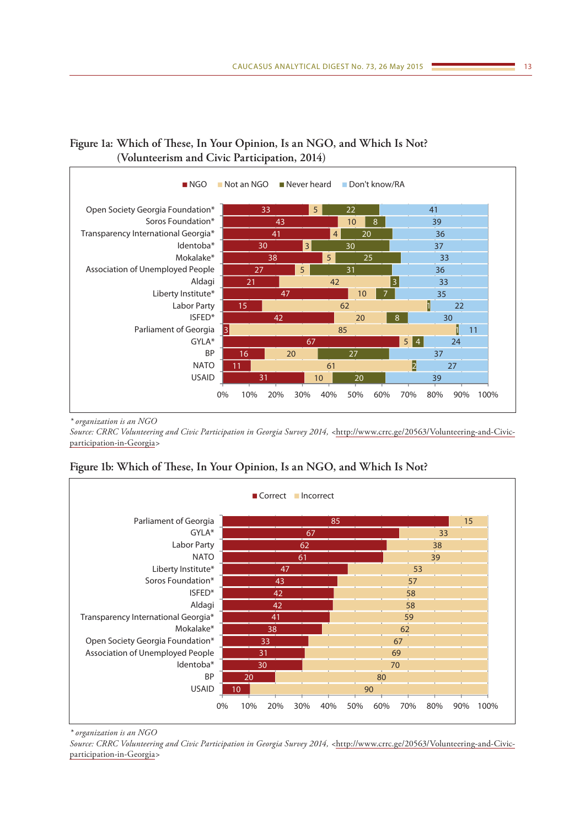

# **Figure 1a: Which of These, In Your Opinion, Is an NGO, and Which Is Not? (Volunteerism and Civic Participation, 2014)**

*\* organization is an NGO*

*Source: CRRC Volunteering and Civic Participation in Georgia Survey 2014, <*[http://www.crrc.ge/20563/Volunteering-and-Civic](http://www.crrc.ge/20563/Volunteering-and-Civic-participation-in-Georgia)[participation-in-Georgia](http://www.crrc.ge/20563/Volunteering-and-Civic-participation-in-Georgia)*>*

## **Figure 1b: Which of These, In Your Opinion, Is an NGO, and Which Is Not?**



*\* organization is an NGO*

*Source: CRRC Volunteering and Civic Participation in Georgia Survey 2014, <*[http://www.crrc.ge/20563/Volunteering-and-Civic](http://www.crrc.ge/20563/Volunteering-and-Civic-participation-in-Georgia)[participation-in-Georgia](http://www.crrc.ge/20563/Volunteering-and-Civic-participation-in-Georgia)*>*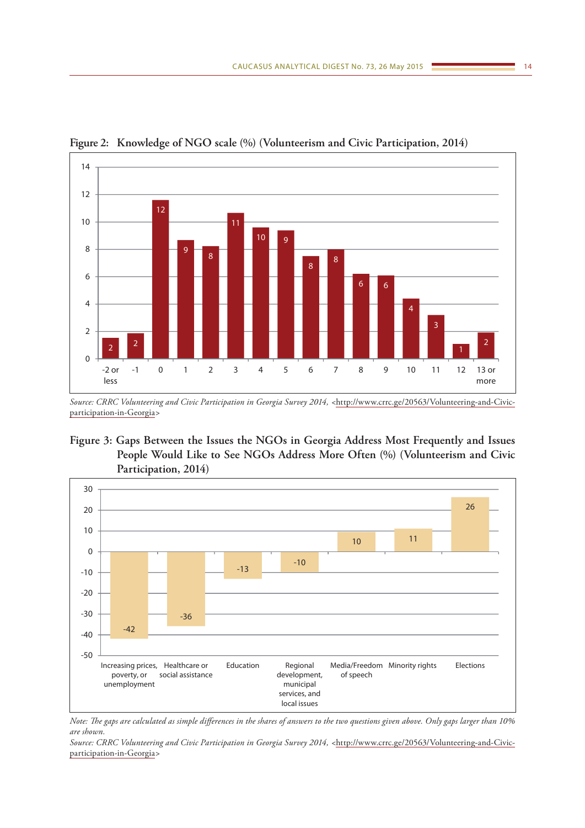

**Figure 2: Knowledge of NGO scale (%) (Volunteerism and Civic Participation, 2014)**

*Source: CRRC Volunteering and Civic Participation in Georgia Survey 2014, <*[http://www.crrc.ge/20563/Volunteering-and-Civic](http://www.crrc.ge/20563/Volunteering-and-Civic-participation-in-Georgia)[participation-in-Georgia](http://www.crrc.ge/20563/Volunteering-and-Civic-participation-in-Georgia)*>*

## **Figure 3: Gaps Between the Issues the NGOs in Georgia Address Most Frequently and Issues People Would Like to See NGOs Address More Often (%) (Volunteerism and Civic Participation, 2014)**



*Note: The gaps are calculated as simple differences in the shares of answers to the two questions given above. Only gaps larger than 10% are shown.*

*Source: CRRC Volunteering and Civic Participation in Georgia Survey 2014, <*[http://www.crrc.ge/20563/Volunteering-and-Civic](http://www.crrc.ge/20563/Volunteering-and-Civic-participation-in-Georgia)[participation-in-Georgia](http://www.crrc.ge/20563/Volunteering-and-Civic-participation-in-Georgia)*>*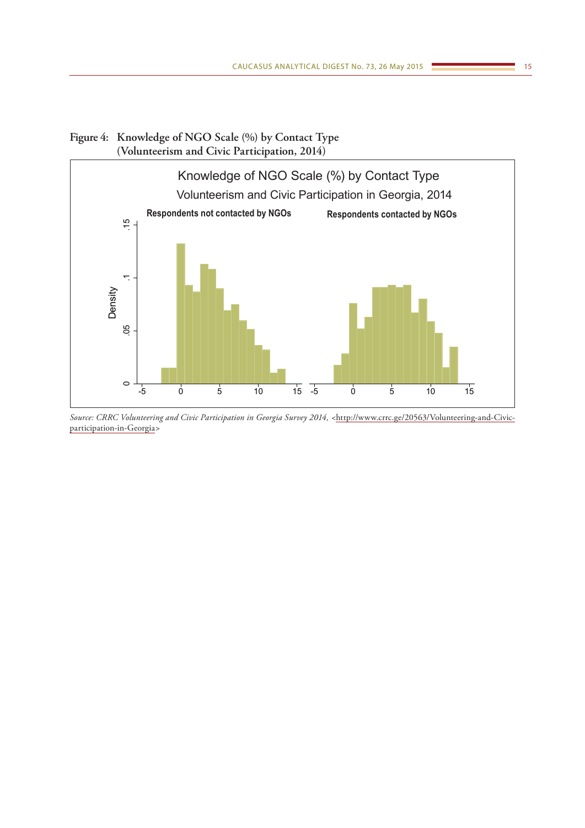# **Figure 4: Knowledge of NGO Scale (%) by Contact Type (Volunteerism and Civic Participation, 2014)**



*Source: CRRC Volunteering and Civic Participation in Georgia Survey 2014, <*[http://www.crrc.ge/20563/Volunteering-and-Civic](http://www.crrc.ge/20563/Volunteering-and-Civic-participation-in-Georgia)[participation-in-Georgia](http://www.crrc.ge/20563/Volunteering-and-Civic-participation-in-Georgia)*>*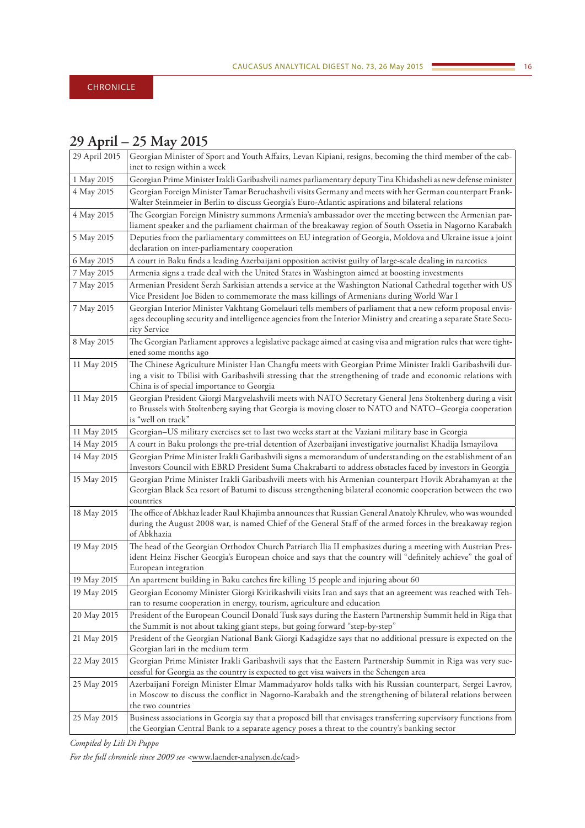# <span id="page-15-0"></span>**29 April – 25 May 2015**

| 29 April 2015 | Georgian Minister of Sport and Youth Affairs, Levan Kipiani, resigns, becoming the third member of the cab-                                                                                                                                                             |
|---------------|-------------------------------------------------------------------------------------------------------------------------------------------------------------------------------------------------------------------------------------------------------------------------|
|               | inet to resign within a week                                                                                                                                                                                                                                            |
| 1 May 2015    | Georgian Prime Minister Irakli Garibashvili names parliamentary deputy Tina Khidasheli as new defense minister<br>Georgian Foreign Minister Tamar Beruchashvili visits Germany and meets with her German counterpart Frank-                                             |
| 4 May 2015    | Walter Steinmeier in Berlin to discuss Georgia's Euro-Atlantic aspirations and bilateral relations                                                                                                                                                                      |
| 4 May 2015    | The Georgian Foreign Ministry summons Armenia's ambassador over the meeting between the Armenian par-<br>liament speaker and the parliament chairman of the breakaway region of South Ossetia in Nagorno Karabakh                                                       |
| 5 May 2015    | Deputies from the parliamentary committees on EU integration of Georgia, Moldova and Ukraine issue a joint<br>declaration on inter-parliamentary cooperation                                                                                                            |
| 6 May 2015    | A court in Baku finds a leading Azerbaijani opposition activist guilty of large-scale dealing in narcotics                                                                                                                                                              |
| 7 May 2015    | Armenia signs a trade deal with the United States in Washington aimed at boosting investments                                                                                                                                                                           |
| 7 May 2015    | Armenian President Serzh Sarkisian attends a service at the Washington National Cathedral together with US<br>Vice President Joe Biden to commemorate the mass killings of Armenians during World War I                                                                 |
| 7 May 2015    | Georgian Interior Minister Vakhtang Gomelauri tells members of parliament that a new reform proposal envis-<br>ages decoupling security and intelligence agencies from the Interior Ministry and creating a separate State Secu-<br>rity Service                        |
| 8 May 2015    | The Georgian Parliament approves a legislative package aimed at easing visa and migration rules that were tight-<br>ened some months ago                                                                                                                                |
| 11 May 2015   | The Chinese Agriculture Minister Han Changfu meets with Georgian Prime Minister Irakli Garibashvili dur-<br>ing a visit to Tbilisi with Garibashvili stressing that the strengthening of trade and economic relations with<br>China is of special importance to Georgia |
| 11 May 2015   | Georgian President Giorgi Margvelashvili meets with NATO Secretary General Jens Stoltenberg during a visit<br>to Brussels with Stoltenberg saying that Georgia is moving closer to NATO and NATO-Georgia cooperation<br>is "well on track"                              |
| 11 May 2015   | Georgian-US military exercises set to last two weeks start at the Vaziani military base in Georgia                                                                                                                                                                      |
| 14 May 2015   | A court in Baku prolongs the pre-trial detention of Azerbaijani investigative journalist Khadija Ismayilova                                                                                                                                                             |
| 14 May 2015   | Georgian Prime Minister Irakli Garibashvili signs a memorandum of understanding on the establishment of an<br>Investors Council with EBRD President Suma Chakrabarti to address obstacles faced by investors in Georgia                                                 |
| 15 May 2015   | Georgian Prime Minister Irakli Garibashvili meets with his Armenian counterpart Hovik Abrahamyan at the<br>Georgian Black Sea resort of Batumi to discuss strengthening bilateral economic cooperation between the two<br>countries                                     |
| 18 May 2015   | The office of Abkhaz leader Raul Khajimba announces that Russian General Anatoly Khrulev, who was wounded<br>during the August 2008 war, is named Chief of the General Staff of the armed forces in the breakaway region<br>of Abkhazia                                 |
| 19 May 2015   | The head of the Georgian Orthodox Church Patriarch Ilia II emphasizes during a meeting with Austrian Pres-<br>ident Heinz Fischer Georgia's European choice and says that the country will "definitely achieve" the goal of<br>European integration                     |
| 19 May 2015   | An apartment building in Baku catches fire killing 15 people and injuring about 60                                                                                                                                                                                      |
| 19 May 2015   | Georgian Economy Minister Giorgi Kvirikashvili visits Iran and says that an agreement was reached with Teh-<br>ran to resume cooperation in energy, tourism, agriculture and education                                                                                  |
| 20 May 2015   | President of the European Council Donald Tusk says during the Eastern Partnership Summit held in Riga that<br>the Summit is not about taking giant steps, but going forward "step-by-step"                                                                              |
| 21 May 2015   | President of the Georgian National Bank Giorgi Kadagidze says that no additional pressure is expected on the<br>Georgian lari in the medium term                                                                                                                        |
| 22 May 2015   | Georgian Prime Minister Irakli Garibashvili says that the Eastern Partnership Summit in Riga was very suc-<br>cessful for Georgia as the country is expected to get visa waivers in the Schengen area                                                                   |
| 25 May 2015   | Azerbaijani Foreign Minister Elmar Mammadyarov holds talks with his Russian counterpart, Sergei Lavrov,<br>in Moscow to discuss the conflict in Nagorno-Karabakh and the strengthening of bilateral relations between<br>the two countries                              |
| 25 May 2015   | Business associations in Georgia say that a proposed bill that envisages transferring supervisory functions from<br>the Georgian Central Bank to a separate agency poses a threat to the country's banking sector                                                       |

*Compiled by Lili Di Puppo*

*For the full chronicle since 2009 see <*www.laender-analysen.de/cad*>*